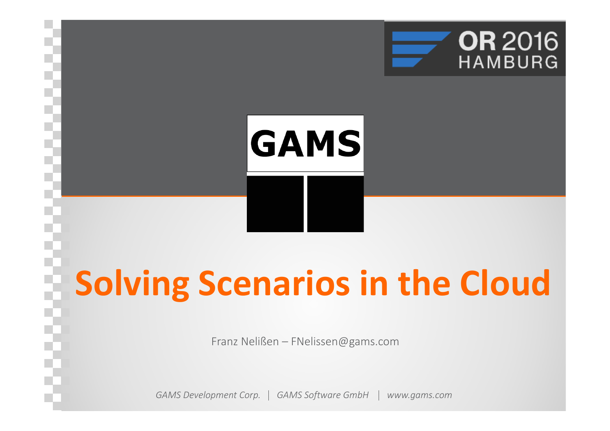

# GAMS

# **Solving Scenarios in the Cloud**

Franz Nelißen – FNelissen@gams.com

*GAMS Development Corp. GAMS Software GmbHwww.gams.com*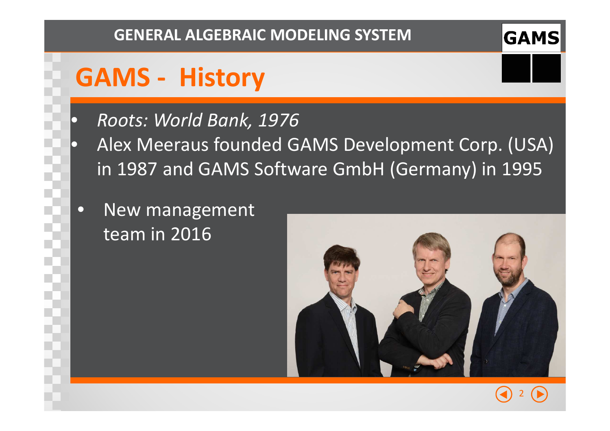## **GAMS - History**

 $\bigodot$ 

 $\bullet$ 

- *Roots: World Bank, 1976*
- Alex Meeraus founded GAMS Development Corp. (USA) in 1987 and GAMS Software GmbH (Germany) in 1995
	- $\bullet$  New management team in 2016



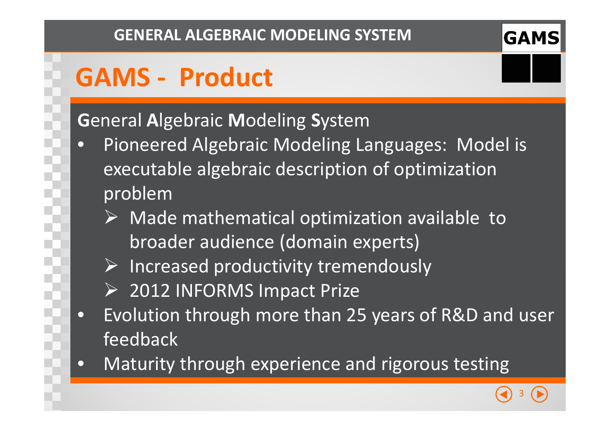## **GAMS - Product**

#### **G**eneral **A**lgebraic **M**odeling **S**ystem

- **•** Pioneered Algebraic Modeling Languages: Model is  $\bullet$ executable algebraic description of optimization problem
	- $\triangleright$  Made mathematical optimization available to broader audience (domain experts)
	- $\triangleright$  Increased productivity tremendously
	- 2012 INFORMS Impact Prize
- $\bullet$  Evolution through more than 25 years of R&D and user feedback
- Maturity through experience and rigorous testing $\bullet$

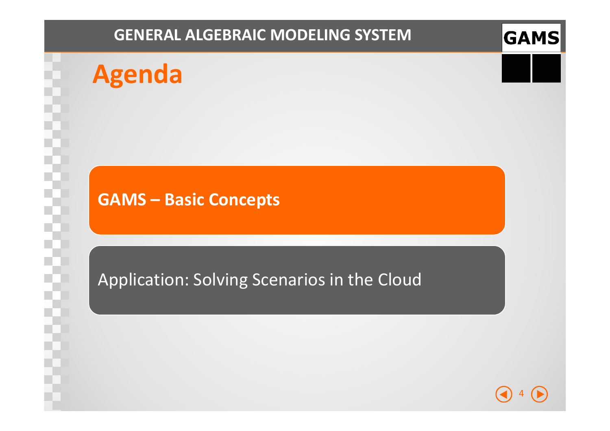## **Agenda**

#### **GAMS – Basic Concepts**

#### Application: Solving Scenarios in the Cloud

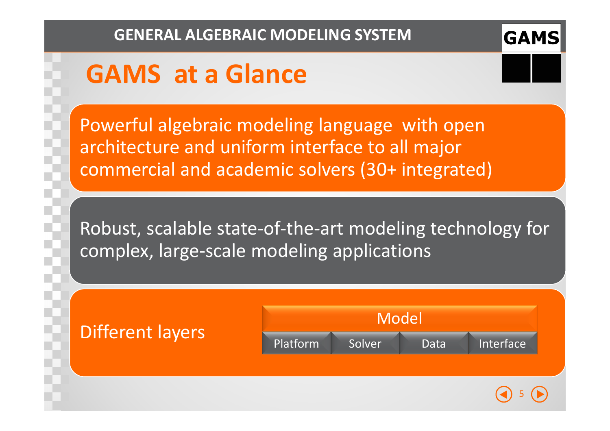# **GAMS at a Glance**

Powerful algebraic modeling language with open architecture and uniform interface to all major commercial and academic solvers (30+ integrated)

Robust, scalable state-of-the-art modeling technology for complex, large-scale modeling applications

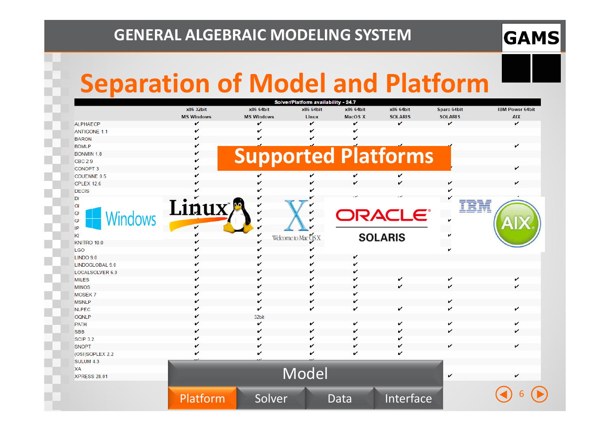#### **GAMS**

## **Separation of Model and Platform**

|                        |                   |                            | Solver/Platform availability - 24.7 |                |                |                |                        |
|------------------------|-------------------|----------------------------|-------------------------------------|----------------|----------------|----------------|------------------------|
|                        | x86 32bit         | x86 64bit                  | x86 64bit                           | x86 64bit      | x86 64bit      | Sparc 64bit    | <b>IBM Power 64bit</b> |
|                        | <b>MS Windows</b> | <b>MS Windows</b>          | Linux                               | <b>MacOS X</b> | <b>SOLARIS</b> | <b>SOLARIS</b> | <b>AIX</b>             |
| <b>ALPHAECP</b>        | v                 | ✓                          | ✓                                   | v              | ✓              | v              | v                      |
| <b>ANTIGONE 1.1</b>    | v                 |                            |                                     |                |                |                |                        |
| <b>BARON</b>           | v                 |                            |                                     |                |                |                |                        |
| <b>BDMLP</b>           | v                 |                            |                                     |                |                |                | ✓                      |
| <b>BONMIN 1.8</b>      | v                 | <b>Supported Platforms</b> |                                     |                |                |                |                        |
| <b>CBC 2.9</b>         |                   |                            |                                     |                |                |                |                        |
| <b>CONOPT 3</b>        | ັ                 |                            |                                     |                |                |                | v                      |
| COUENNE 0.5            |                   |                            | v                                   | v              | ✓              |                |                        |
| <b>CPLEX 12.6</b>      |                   |                            |                                     | ✓              |                |                |                        |
| <b>DECIS</b>           |                   |                            |                                     |                |                |                |                        |
| DI                     |                   |                            |                                     |                |                |                |                        |
| GI                     | Linux             | v                          |                                     |                |                | IBM            |                        |
| GI                     |                   | v                          |                                     |                | <b>DRACLE'</b> |                |                        |
| Windows<br>GI          |                   | v                          |                                     |                |                |                |                        |
| IP                     | v                 |                            |                                     |                |                |                |                        |
| KI                     |                   | ✓                          | Welcome to Mac OS X                 |                | <b>SOLARIS</b> |                |                        |
| KNITRO 10.0            | v                 | ✓                          |                                     |                |                |                |                        |
| <b>LGO</b>             |                   |                            |                                     |                |                |                |                        |
| LINDO 9.0              |                   |                            |                                     | v              |                |                |                        |
| LINDOGLOBAL 9.0        |                   |                            |                                     |                |                |                |                        |
| <b>LOCALSOLVER 6.0</b> |                   |                            |                                     | v              |                |                |                        |
| <b>MILES</b>           |                   |                            |                                     | v              | v              | v              | v                      |
| <b>MINOS</b>           |                   |                            |                                     | ✓              |                | v              | ✓                      |
| <b>MOSEK7</b>          |                   |                            |                                     |                |                |                |                        |
| <b>MSNLP</b>           | v                 |                            |                                     | v              |                | v              |                        |
| <b>NLPEC</b>           | v                 | ✓                          |                                     | v              | v              | v              | v                      |
| OQNLP                  | v                 | 32bit                      |                                     |                |                |                |                        |
| <b>PATH</b>            | ✔                 | v                          |                                     | v              |                | v              |                        |
| <b>SBB</b>             | v                 |                            |                                     | v              |                |                |                        |
| <b>SCIP 3.2</b>        | v                 |                            |                                     | v              |                |                |                        |
| <b>SNOPT</b>           | v                 |                            |                                     | v              |                | ✔              |                        |
| (OSI)SOPLEX 2.2        |                   |                            |                                     |                |                |                |                        |
| SULUM 4.3              |                   |                            |                                     |                |                |                |                        |
| XA                     |                   |                            |                                     |                |                |                |                        |
| <b>XPRESS 28.01</b>    |                   |                            | Model                               |                |                | v              |                        |
|                        |                   |                            |                                     |                |                |                |                        |
|                        |                   |                            |                                     |                |                |                |                        |
|                        | Platform          | Solver                     |                                     | Data           | Interface      |                |                        |
|                        |                   |                            |                                     |                |                |                |                        |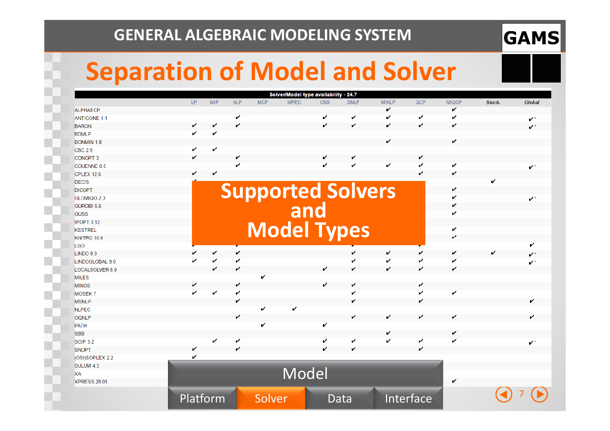#### **GAMS**

## **Separation of Model and Solver**

|                   |     |            |            |            | Solver/Model type availability - 24.7 |            |             |              |     |              |        |                      |
|-------------------|-----|------------|------------|------------|---------------------------------------|------------|-------------|--------------|-----|--------------|--------|----------------------|
|                   | LP. | <b>MIP</b> | <b>NLP</b> | <b>MCP</b> | <b>MPEC</b>                           | <b>CNS</b> | <b>DNLP</b> | <b>MINLP</b> | QCP | <b>MIQCP</b> | Stoch. | <b>Global</b>        |
| <b>ALPHAECP</b>   |     |            |            |            |                                       |            |             | v            |     | v            |        |                      |
| ANTIGONE 1.1      |     |            | v          |            |                                       | v          | v           | v            | v   | v            |        | $\mathbf{v}^*$       |
| <b>BARON</b>      | v   |            |            |            |                                       | v          | v           | v            | v   | v            |        | $\mathbf{v}^{\star}$ |
| <b>BDMLP</b>      | v   | ✓          |            |            |                                       |            |             |              |     |              |        |                      |
| <b>BONMIN 1.8</b> |     |            |            |            |                                       |            |             | v            |     | v            |        |                      |
| <b>CBC 2.9</b>    | v   | v          |            |            |                                       |            |             |              |     |              |        |                      |
| <b>CONOPT 3</b>   | v   |            | v          |            |                                       | v          | v           |              | v   |              |        |                      |
| COUENNE 0.5       |     |            |            |            |                                       | v          | v           | v            | v   | v            |        | $\checkmark$         |
| <b>CPLEX 12.6</b> |     | ✓          |            |            |                                       |            |             |              | ✓   | ✔            |        |                      |
| <b>DECIS</b>      |     |            |            |            |                                       |            |             |              |     |              | v      |                      |
| <b>DICOPT</b>     |     |            |            |            |                                       |            |             |              |     |              |        |                      |
| GLOMIQO 2.3       |     |            |            |            | <b>Supported Solvers</b>              |            |             |              |     |              |        | $\sim$ $^{\star}$    |
| <b>GUROBI 6.5</b> |     |            |            |            |                                       |            |             |              |     |              |        |                      |
| <b>GUSS</b>       |     |            |            |            |                                       |            |             |              |     |              |        |                      |
| <b>IPOPT 3.12</b> |     |            |            |            |                                       |            |             |              |     |              |        |                      |
| <b>KESTREL</b>    |     |            |            |            | <b>Model Types</b>                    |            |             |              |     | v            |        |                      |
| KNITRO 10.0       |     |            |            |            |                                       |            |             |              |     | v            |        |                      |
| <b>LGO</b>        |     |            |            |            |                                       |            |             |              |     |              |        | v                    |
| LINDO 9.0         |     | v          | v          |            |                                       |            | v           | v            | v   | v            | v      | $\mathcal{L}^*$      |
| LINDOGLOBAL 9.0   | v   | v          | v          |            |                                       |            | v           | v            | v   | ✔            |        | $\mathbf{v}$ *       |
| LOCALSOLVER 6.0   |     | ✓          | v          |            |                                       | v          | v           | v            |     | v            |        |                      |
| <b>MILES</b>      |     |            |            | ✓          |                                       |            |             |              |     |              |        |                      |
| <b>MINOS</b>      | v   |            |            |            |                                       | v          | v           |              | v   |              |        |                      |
| <b>MOSEK7</b>     | V   |            | v          |            |                                       |            | v           |              | v   | v            |        |                      |
| <b>MSNLP</b>      |     |            | v          |            |                                       |            | v           |              |     |              |        | ✓                    |
| <b>NLPEC</b>      |     |            |            | ✓          | v                                     |            |             |              |     |              |        |                      |
| <b>OQNLP</b>      |     |            | v          |            |                                       |            | v           | v            | v   | v            |        | ✓                    |
| PATH              |     |            |            | v          |                                       | v          |             |              |     |              |        |                      |
| <b>SBB</b>        |     |            |            |            |                                       |            |             | v            |     | v            |        |                      |
| <b>SCIP 3.2</b>   |     | v          | v          |            |                                       | v          | v           | v            | v   | v            |        | $\mathbf{v}^*$       |
| SNOPT             | v   |            | v          |            |                                       | v          | V           |              | v   |              |        |                      |
| (OSI)SOPLEX 2.2   | v   |            |            |            |                                       |            |             |              |     |              |        |                      |
|                   |     |            |            |            |                                       |            |             |              |     |              |        |                      |
| SULUM 4.3         |     |            |            |            |                                       |            |             |              |     |              |        |                      |
| XA                |     |            |            |            | Model                                 |            |             |              |     |              |        |                      |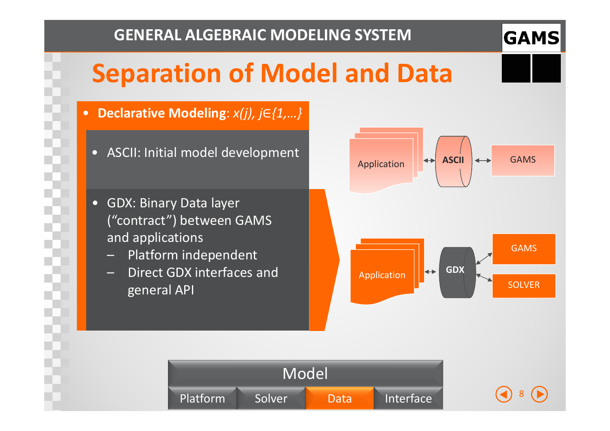## **Separation of Model and Data**

- **Declarative Modeling**: *x(j), j* ∈*{1,…}*
	-
	- GDX: Binary Data layer ("contract") between GAMS and applications
		- Platform independent –
		- Direct GDX interfaces and general API





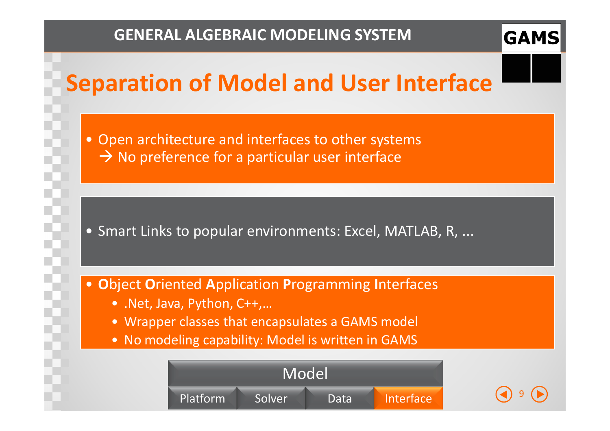

9

## **Separation of Model and User Interface**

• Open architecture and interfaces to other systems → No preference for a particular user interface

• Smart Links to popular environments: Excel, MATLAB, R, ...

- •**O**bject**O**riented**A**pplication**P**rogramming **<sup>I</sup>**nterfaces
	- .Net, Java, Python, C++,…
	- Wrapper classes that encapsulates a GAMS model
	- No modeling capability: Model is written in GAMS

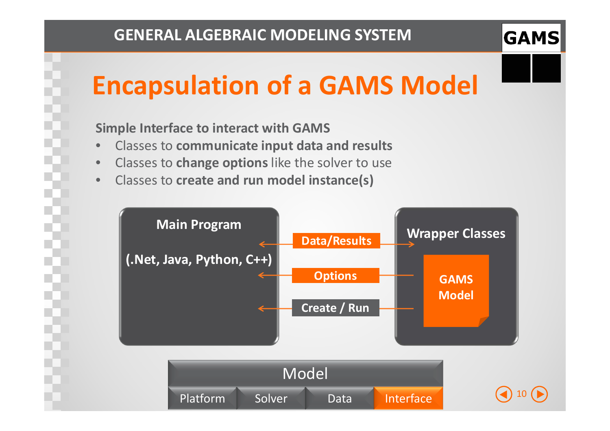10 $\bullet$ 

# **Encapsulation of a GAMS Model**

#### **Simple Interface to interact with GAMS**

- •Classes to **communicate input data and results**
- Classes to **change options** like the solver to use $\bullet$
- $\bullet$ Classes to **create and run model instance(s)**



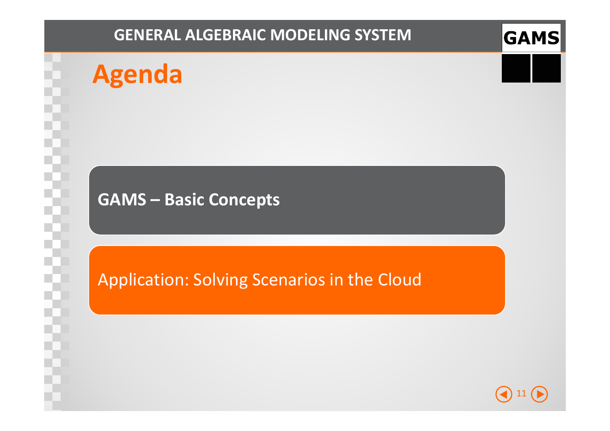## **Agenda**

#### **GAMS – Basic Concepts**

#### Application: Solving Scenarios in the Cloud

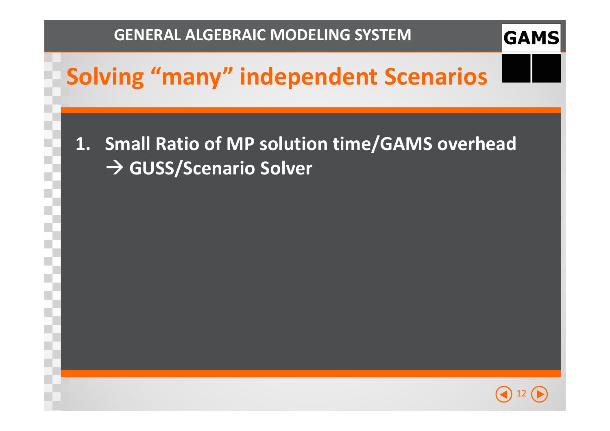

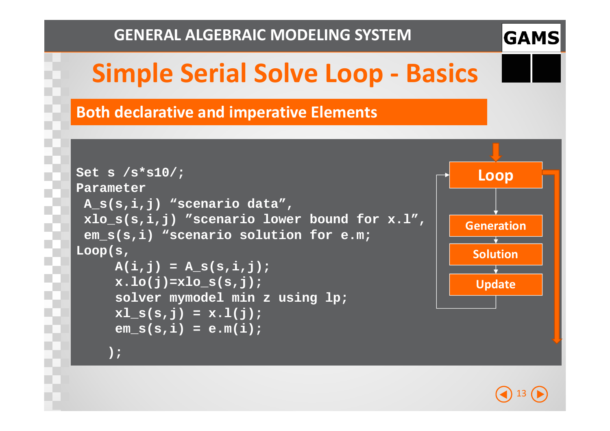

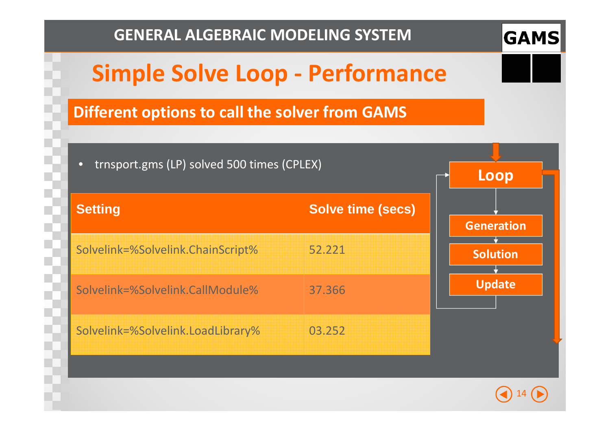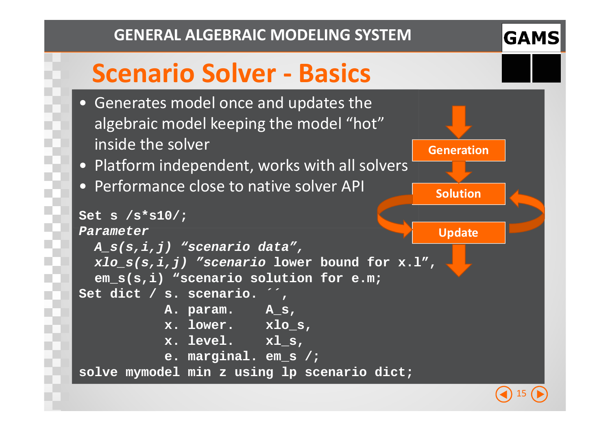

**Generation**

**Solution**

## **Scenario Solver - Basics**

- Generates model once and updates the algebraic model keeping the model "hot" inside the solver
- Platform independent, works with all solvers
- Performance close to native solver API

```
UpdateSet s /s*s10/;Parameter 
A_s(s,i,j) "scenario data",
xlo_s(s,i,j) "scenario lower bound for x.l",em_s(s,i) "scenario solution for e.m;Set dict / s. scenario. ´´,
          A. param. A_s,
x. lower. xlo_s, x. level. xl_s,
e. marginal. em_s /;
solve mymodel min z using lp scenario dict;
```
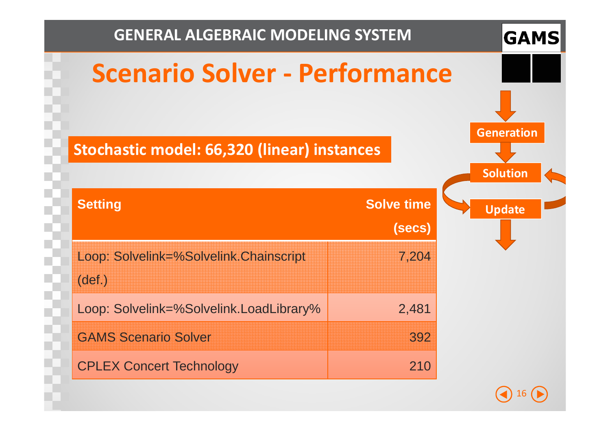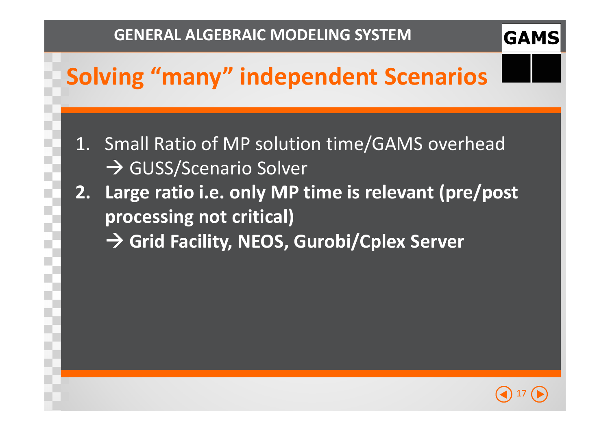## **Solving "many" independent Scenarios**

- 1. Small Ratio of MP solution time/GAMS overhead - GUSS/Scenario Solver
- **2. Large ratio i.e. only MP time is relevant (pre/post processing not critical)** 
	- **Grid Facility, NEOS, Gurobi/Cplex Server**

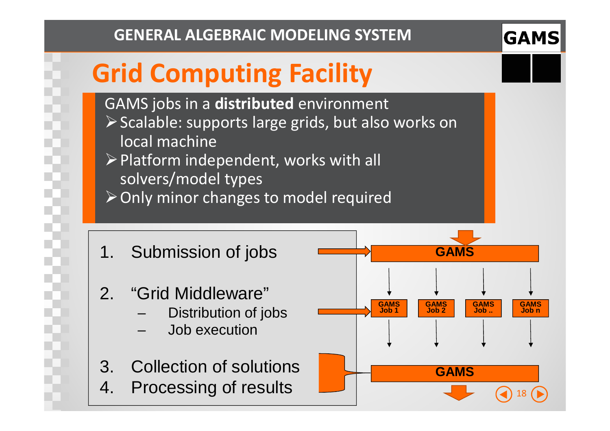#### **GAMS**

# **Grid Computing Facility**

GAMS jobs in a **distributed** environment

- $\triangleright$  Scalable: supports large grids, but also works on local machine
- $\triangleright$  Platform independent, works with all solvers/model types
- $\triangleright$  Only minor changes to model required
- 1. Submission of jobs
- 2. "Grid Middleware"
	- Distribution of jobs
	- Job execution
- 3. Collection of solutions
- 4. Processing of results

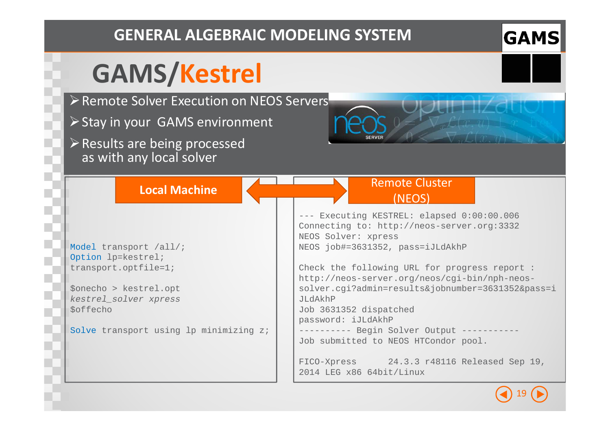# **GAMS/Kestrel**

- ▶ Remote Solver Execution on NEOS Servers
- $\triangleright$  Stay in your GAMS environment

**Local Machine**

 $\triangleright$  Results are being processed as with any local solver

| Model transport /all/; |  |
|------------------------|--|
| Option lp=kestrel;     |  |
| transport.optfile=1;   |  |

\$onecho > kestrel.opt kestrel\_solver xpress \$offecho

Solve transport using lp minimizing z;

#### --- Executing KESTREL: elapsed 0:00:00.006 Connecting to: http://neos-server.org:3332NEOS Solver: xpress NEOS job#=3631352, pass=iJLdAkhPRemote Cluster (NEOS)

Check the following URL for progress report : http://neos-server.org/neos/cgi-bin/nph-neossolver.cgi?admin=results&jobnumber=3631352&pass=iJLdAkhP Job 3631352 dispatchedpassword: iJLdAkhP---------- Begin Solver Output -----------

Job submitted to NEOS HTCondor pool.

FICO-Xpress 24.3.3 r48116 Released Sep 19, 2014 LEG x86 64bit/Linux

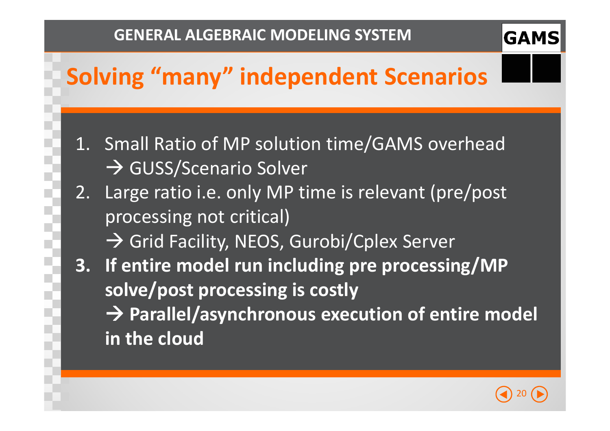## **Solving "many" independent Scenarios**

- 1. Small Ratio of MP solution time/GAMS overhead - GUSS/Scenario Solver
- 2. Large ratio i.e. only MP time is relevant (pre/post processing not critical)
	- Grid Facility, NEOS, Gurobi/Cplex Server
- **3. If entire model run including pre processing/MP solve/post processing is costly** 
	- **Parallel/asynchronous execution of entire model in the cloud**

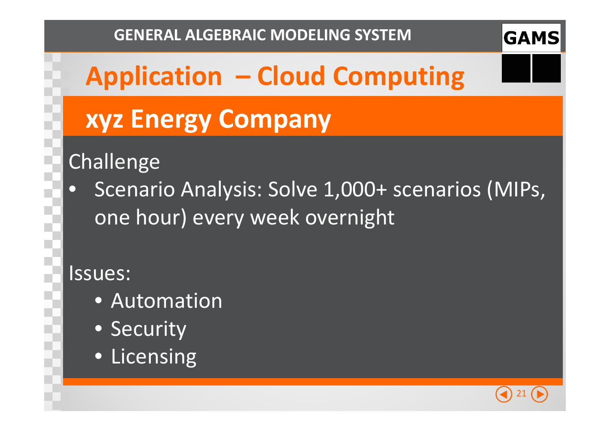# **Application – Cloud Computing**

# **xyz Energy Company**

## Challenge

 $\bullet$  Scenario Analysis: Solve 1,000+ scenarios (MIPs, one hour) every week overnight

#### Issues:

- Automation
- Security
- Licensing

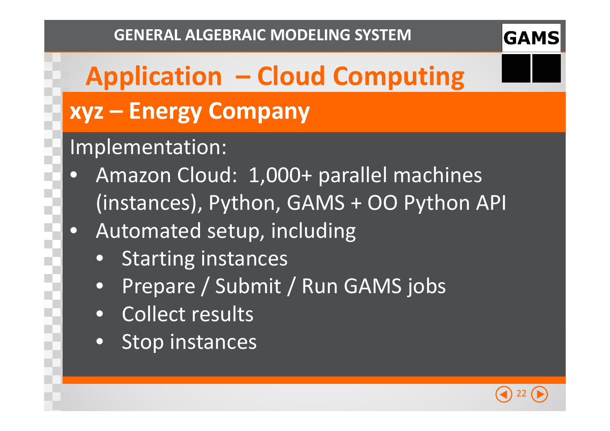# **Application – Cloud Computing xyz – Energy Company**

### Implementation:

- $\bullet$  Amazon Cloud: 1,000+ parallel machines (instances), Python, GAMS + OO Python API
- $\bullet$  Automated setup, including
	- $\bullet$ Starting instances
	- •Prepare / Submit / Run GAMS jobs
	- $\bullet$ Collect results
	- $\bullet$ • Stop instances

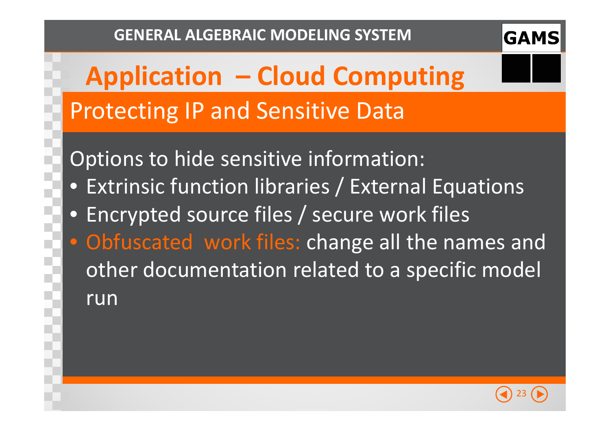

# **Application – Cloud Computing** Protecting IP and Sensitive Data

Options to hide sensitive information:

- Extrinsic function libraries / External Equations
- Encrypted source files / secure work files
- Obfuscated work files: change all the names and other documentation related to a specific model run

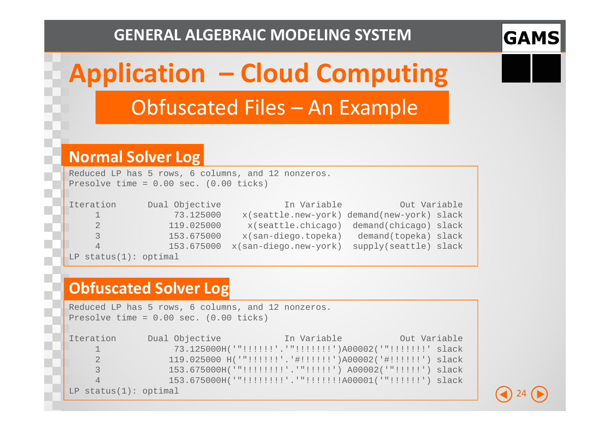

# **Application – Cloud Computing** Obfuscated Files – An Example

#### **Normal Solver Log**

Reduced LP has 5 rows, 6 columns, and 12 nonzeros. Presolve time = 0.00 sec. (0.00 ticks)

| <b>Iteration</b>      | Dual Objective | In Variable           | Out Variable                               |
|-----------------------|----------------|-----------------------|--------------------------------------------|
|                       | 73.125000      |                       | x(seattle.new-york) demand(new-york) slack |
| 2                     | 119.025000     |                       | x(seattle.chicago) demand(chicago) slack   |
| 3                     | 153.675000     | x(san-diego.topeka)   | demand(topeka) slack                       |
| $\overline{4}$        | 153.675000     | x(san-diego.new-york) | supply(seattle) slack                      |
| LP status(1): optimal |                |                       |                                            |

#### **Obfuscated Solver Log**

Reduced LP has 5 rows, 6 columns, and 12 nonzeros.Presolve time = 0.00 sec. (0.00 ticks)Iteration Dual Objective In Variable Out Variable 1 73.125000H('"!!!!!!'.'"!!!!!!!')A00002('"!!!!!!!' slack 2 119.025000 H('"!!!!!!'.'#!!!!!!')A00002('#!!!!!!') slack 3 153.675000H('"!!!!!!!!'.'"!!!!!') A00002('"!!!!!') slack 4 153.675000H('"!!!!!!!!'.'"!!!!!!!A00001('"!!!!!!') slackLP status(1): optimal

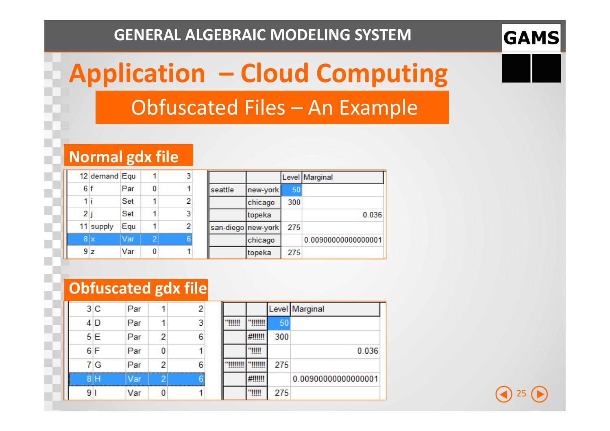

# **Application – Cloud Computing** Obfuscated Files – An Example

#### **Normal gdx file**

|     | 12 demand Equ |     |  |
|-----|---------------|-----|--|
| 6 f |               | Par |  |
|     |               | Set |  |
| 2 j |               | Set |  |
|     | 11 supply     | Equ |  |
|     | 8x            | Var |  |
|     | 9 z           | Var |  |

|                    |          |     | Level Marginal      |
|--------------------|----------|-----|---------------------|
| seattle            | new-york | 50  |                     |
|                    | chicago  | 300 |                     |
|                    | topeka   |     | 0.036               |
| san-diego new-york |          | 275 |                     |
|                    | chicago  |     | 0.00900000000000001 |
|                    | topeka   | 275 |                     |

#### **Obfuscated gdx file**

|    | 3C  | Par |   | 2 |
|----|-----|-----|---|---|
|    | 4 D | Par |   | 3 |
|    | 5E  | Par | 2 | 6 |
|    | 6 F | Par |   |   |
|    | 7 G | Par | 2 | ĥ |
|    | 8 H | Var |   |   |
| 91 |     | Var |   |   |

|   |     | _evel Marginal      |
|---|-----|---------------------|
| Ш | 50  |                     |
|   | 300 |                     |
|   |     | 0.036               |
|   | 275 |                     |
|   |     | 0.00900000000000001 |
|   | 275 |                     |

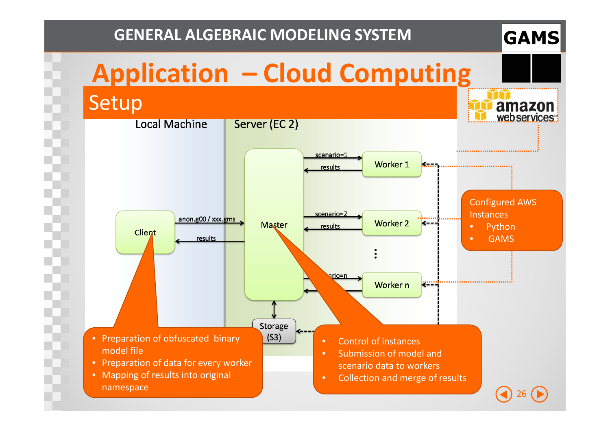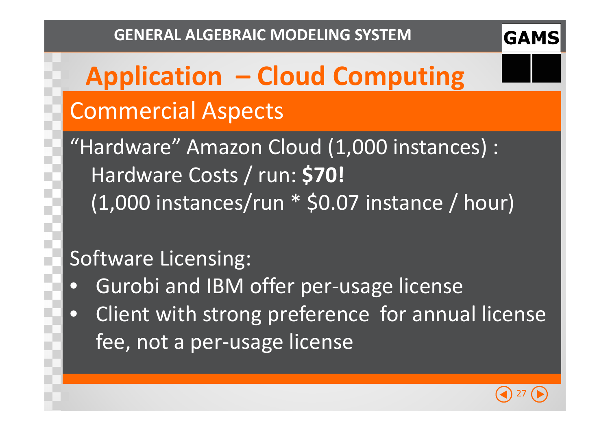# **Application – Cloud Computing** Commercial Aspects

"Hardware" Amazon Cloud (1,000 instances) : Hardware Costs / run: **\$70!** (1,000 instances/run \* \$0.07 instance / hour)

### Software Licensing:

- $\bullet$ Gurobi and IBM offer per-usage license
- $\bullet$  Client with strong preference for annual license fee, not a per-usage license

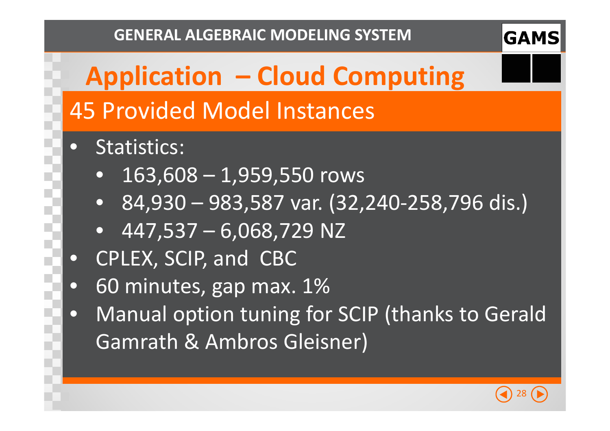

# **Application – Cloud Computing** 45 Provided Model Instances

- $\bullet$  Statistics:
	- $\bullet$ 163,608 – 1,959,550 rows
	- •84,930 – 983,587 var. (32,240-258,796 dis.)
	- •447,537 – 6,068,729 NZ
- CPLEX, SCIP, and CBC
- 60 minutes, gap max. 1% $\bullet$
- Manual option tuning for SCIP (thanks to Gerald  $\bullet$ Gamrath & Ambros Gleisner)

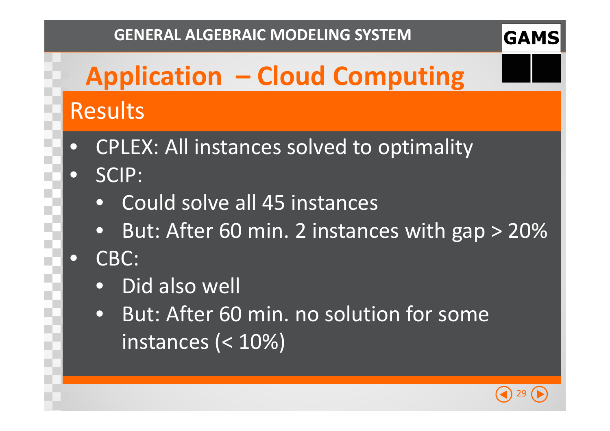# **Application – Cloud Computing** Results

- $\bullet$ CPLEX: All instances solved to optimality
- $\bullet$  SCIP:
	- Could solve all 45 instances
	- $\bullet$ But: After 60 min. 2 instances with gap > 20%
- $\bigodot$  CBC:
	- $\bullet$ Did also well
	- • But: After 60 min. no solution for some instances (< 10%)

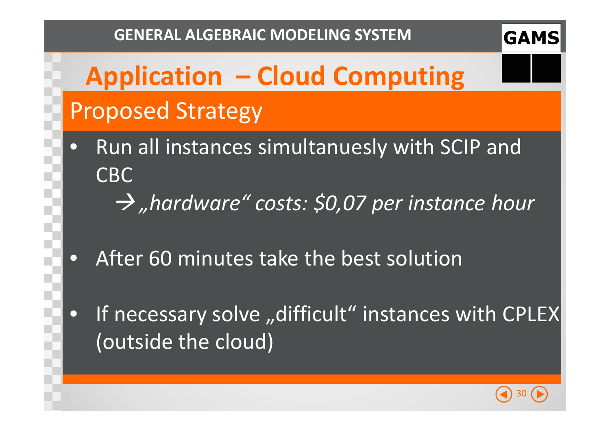# **Application – Cloud Computing** Proposed Strategy

- $\bullet$  Run all instances simultanuesly with SCIP and CBC
	- *"hardware" costs: \$0,07 per instance hour*
- $\bullet$ After 60 minutes take the best solution
- $\bullet$ • If necessary solve "difficult" instances with CPLEX (outside the cloud)